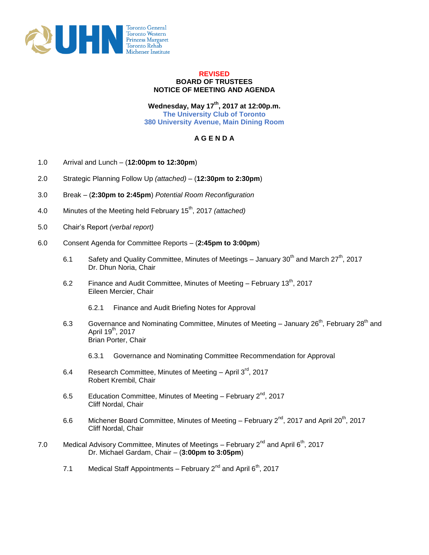

## **REVISED BOARD OF TRUSTEES NOTICE OF MEETING AND AGENDA**

**Wednesday, May 17th, 2017 at 12:00p.m. The University Club of Toronto 380 University Avenue, Main Dining Room**

## **A G E N D A**

- 1.0 Arrival and Lunch (**12:00pm to 12:30pm**)
- 2.0 Strategic Planning Follow Up *(attached)* (**12:30pm to 2:30pm**)
- 3.0 Break (**2:30pm to 2:45pm**) *Potential Room Reconfiguration*
- 4.0 Minutes of the Meeting held February 15<sup>th</sup>, 2017 *(attached)*
- 5.0 Chair's Report *(verbal report)*
- 6.0 Consent Agenda for Committee Reports *–* (**2:45pm to 3:00pm**)
	- 6.1 Safety and Quality Committee, Minutes of Meetings January 30<sup>th</sup> and March 27<sup>th</sup>, 2017 Dr. Dhun Noria, Chair
	- 6.2 Finance and Audit Committee, Minutes of Meeting February 13<sup>th</sup>, 2017 Eileen Mercier, Chair
		- 6.2.1 Finance and Audit Briefing Notes for Approval
	- 6.3 Governance and Nominating Committee, Minutes of Meeting  $-$  January 26<sup>th</sup>, February 28<sup>th</sup> and April 19<sup>th</sup>, 2017 Brian Porter, Chair
		- 6.3.1 Governance and Nominating Committee Recommendation for Approval
	- 6.4 Research Committee, Minutes of Meeting  $-$  April 3<sup>rd</sup>, 2017 Robert Krembil, Chair
	- 6.5 Education Committee, Minutes of Meeting February  $2^{nd}$ , 2017 Cliff Nordal, Chair
	- 6.6 Michener Board Committee, Minutes of Meeting February  $2^{nd}$ , 2017 and April 20<sup>th</sup>, 2017 Cliff Nordal, Chair
- 7.0 Medical Advisory Committee, Minutes of Meetings February  $2^{nd}$  and April  $6^{th}$ , 2017 Dr. Michael Gardam, Chair – (**3:00pm to 3:05pm**)
	- 7.1 Medical Staff Appointments February  $2^{nd}$  and April  $6^{th}$ , 2017